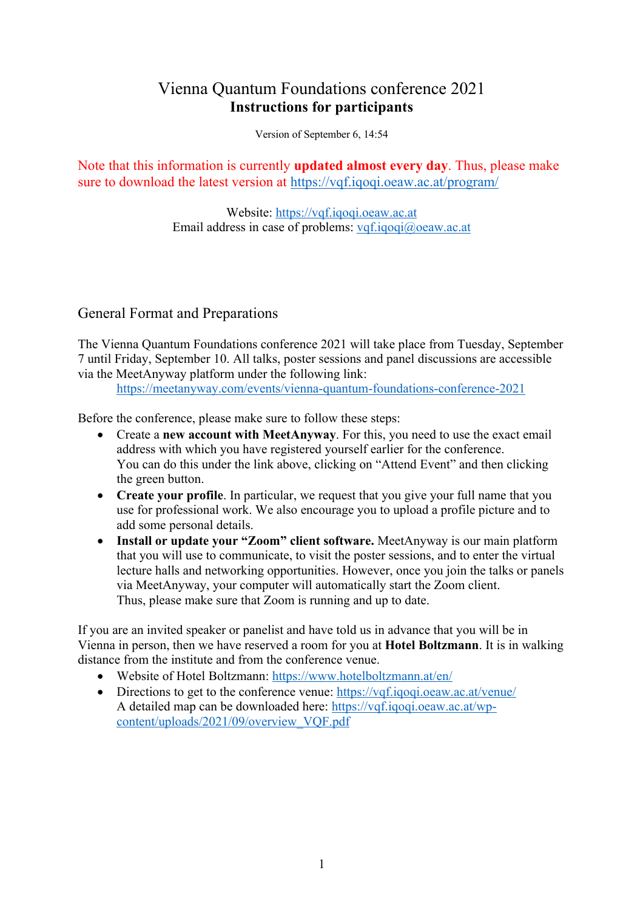# Vienna Quantum Foundations conference 2021 **Instructions for participants**

Version of September 6, 14:54

Note that this information is currently **updated almost every day**. Thus, please make sure to download the latest version at https://vqf.iqoqi.oeaw.ac.at/program/

> Website: https://vqf.iqoqi.oeaw.ac.at Email address in case of problems: vqf.iqoqi@oeaw.ac.at

# General Format and Preparations

The Vienna Quantum Foundations conference 2021 will take place from Tuesday, September 7 until Friday, September 10. All talks, poster sessions and panel discussions are accessible via the MeetAnyway platform under the following link:

https://meetanyway.com/events/vienna-quantum-foundations-conference-2021

Before the conference, please make sure to follow these steps:

- Create a **new account with MeetAnyway**. For this, you need to use the exact email address with which you have registered yourself earlier for the conference. You can do this under the link above, clicking on "Attend Event" and then clicking the green button.
- **Create your profile**. In particular, we request that you give your full name that you use for professional work. We also encourage you to upload a profile picture and to add some personal details.
- **Install or update your "Zoom" client software.** MeetAnyway is our main platform that you will use to communicate, to visit the poster sessions, and to enter the virtual lecture halls and networking opportunities. However, once you join the talks or panels via MeetAnyway, your computer will automatically start the Zoom client. Thus, please make sure that Zoom is running and up to date.

If you are an invited speaker or panelist and have told us in advance that you will be in Vienna in person, then we have reserved a room for you at **Hotel Boltzmann**. It is in walking distance from the institute and from the conference venue.

- Website of Hotel Boltzmann: https://www.hotelboltzmann.at/en/
- Directions to get to the conference venue: https://vqf.iqoqi.oeaw.ac.at/venue/ A detailed map can be downloaded here: https://vqf.iqoqi.oeaw.ac.at/wpcontent/uploads/2021/09/overview\_VQF.pdf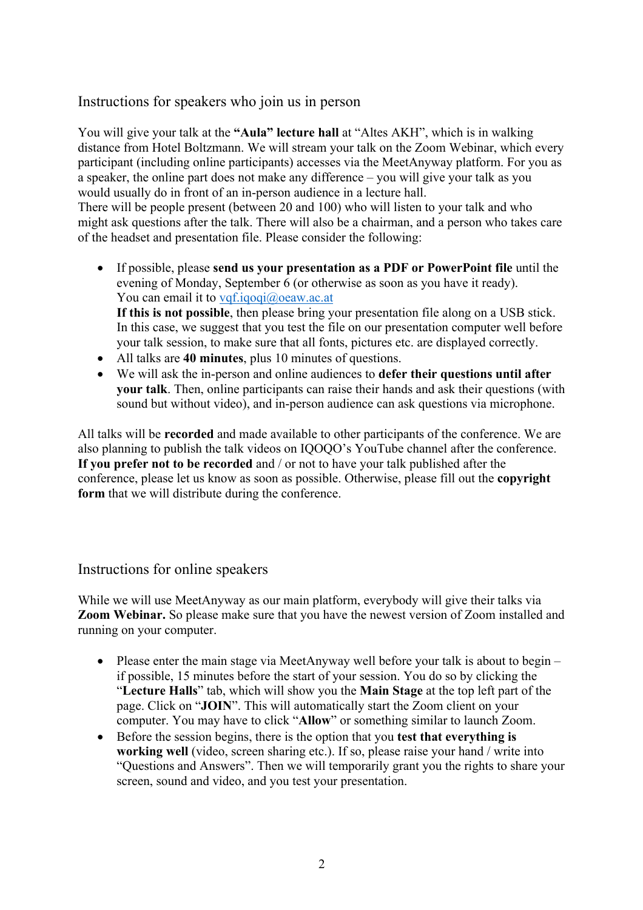### Instructions for speakers who join us in person

You will give your talk at the **"Aula" lecture hall** at "Altes AKH", which is in walking distance from Hotel Boltzmann. We will stream your talk on the Zoom Webinar, which every participant (including online participants) accesses via the MeetAnyway platform. For you as a speaker, the online part does not make any difference – you will give your talk as you would usually do in front of an in-person audience in a lecture hall.

There will be people present (between 20 and 100) who will listen to your talk and who might ask questions after the talk. There will also be a chairman, and a person who takes care of the headset and presentation file. Please consider the following:

- If possible, please **send us your presentation as a PDF or PowerPoint file** until the evening of Monday, September 6 (or otherwise as soon as you have it ready). You can email it to vqf.iqoqi@oeaw.ac.at **If this is not possible**, then please bring your presentation file along on a USB stick. In this case, we suggest that you test the file on our presentation computer well before
- your talk session, to make sure that all fonts, pictures etc. are displayed correctly.
- All talks are **40 minutes**, plus 10 minutes of questions.
- We will ask the in-person and online audiences to **defer their questions until after your talk**. Then, online participants can raise their hands and ask their questions (with sound but without video), and in-person audience can ask questions via microphone.

All talks will be **recorded** and made available to other participants of the conference. We are also planning to publish the talk videos on IQOQO's YouTube channel after the conference. **If you prefer not to be recorded** and / or not to have your talk published after the conference, please let us know as soon as possible. Otherwise, please fill out the **copyright form** that we will distribute during the conference.

#### Instructions for online speakers

While we will use MeetAnyway as our main platform, everybody will give their talks via **Zoom Webinar.** So please make sure that you have the newest version of Zoom installed and running on your computer.

- Please enter the main stage via MeetAnyway well before your talk is about to begin if possible, 15 minutes before the start of your session. You do so by clicking the "**Lecture Halls**" tab, which will show you the **Main Stage** at the top left part of the page. Click on "**JOIN**". This will automatically start the Zoom client on your computer. You may have to click "**Allow**" or something similar to launch Zoom.
- Before the session begins, there is the option that you **test that everything is working well** (video, screen sharing etc.). If so, please raise your hand / write into "Questions and Answers". Then we will temporarily grant you the rights to share your screen, sound and video, and you test your presentation.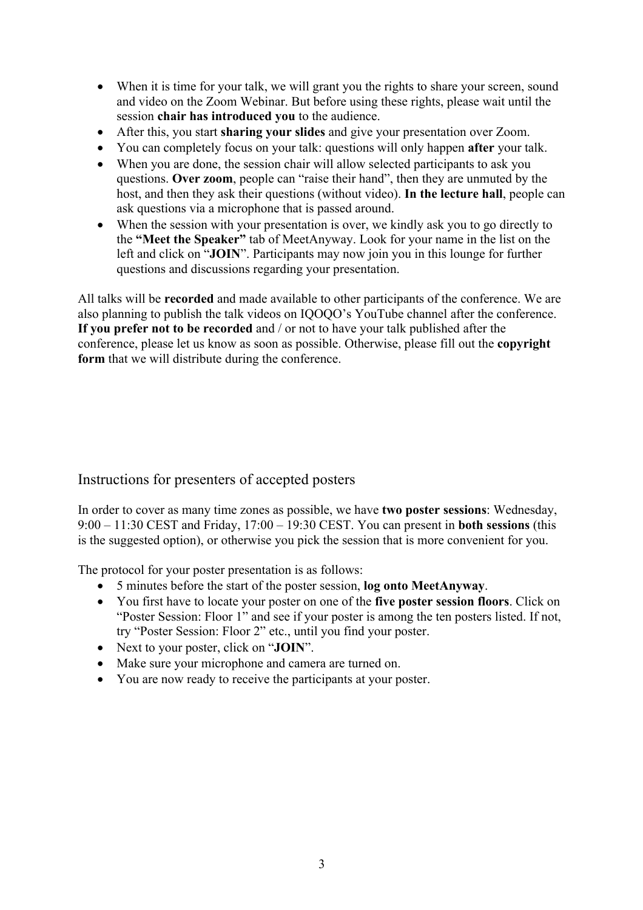- When it is time for your talk, we will grant you the rights to share your screen, sound and video on the Zoom Webinar. But before using these rights, please wait until the session **chair has introduced you** to the audience.
- After this, you start **sharing your slides** and give your presentation over Zoom.
- You can completely focus on your talk: questions will only happen **after** your talk.
- When you are done, the session chair will allow selected participants to ask you questions. **Over zoom**, people can "raise their hand", then they are unmuted by the host, and then they ask their questions (without video). **In the lecture hall**, people can ask questions via a microphone that is passed around.
- When the session with your presentation is over, we kindly ask you to go directly to the **"Meet the Speaker"** tab of MeetAnyway. Look for your name in the list on the left and click on "**JOIN**". Participants may now join you in this lounge for further questions and discussions regarding your presentation.

All talks will be **recorded** and made available to other participants of the conference. We are also planning to publish the talk videos on IQOQO's YouTube channel after the conference. **If you prefer not to be recorded** and / or not to have your talk published after the conference, please let us know as soon as possible. Otherwise, please fill out the **copyright form** that we will distribute during the conference.

# Instructions for presenters of accepted posters

In order to cover as many time zones as possible, we have **two poster sessions**: Wednesday, 9:00 – 11:30 CEST and Friday, 17:00 – 19:30 CEST. You can present in **both sessions** (this is the suggested option), or otherwise you pick the session that is more convenient for you.

The protocol for your poster presentation is as follows:

- 5 minutes before the start of the poster session, **log onto MeetAnyway**.
- You first have to locate your poster on one of the **five poster session floors**. Click on "Poster Session: Floor 1" and see if your poster is among the ten posters listed. If not, try "Poster Session: Floor 2" etc., until you find your poster.
- Next to your poster, click on "**JOIN**".
- Make sure your microphone and camera are turned on.
- You are now ready to receive the participants at your poster.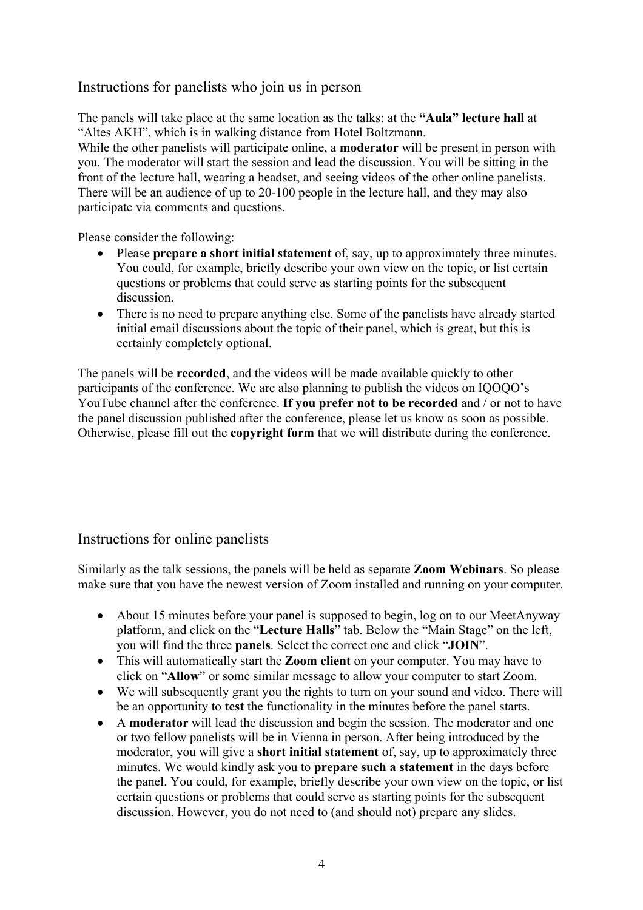# Instructions for panelists who join us in person

The panels will take place at the same location as the talks: at the **"Aula" lecture hall** at "Altes AKH", which is in walking distance from Hotel Boltzmann.

While the other panelists will participate online, a **moderator** will be present in person with you. The moderator will start the session and lead the discussion. You will be sitting in the front of the lecture hall, wearing a headset, and seeing videos of the other online panelists. There will be an audience of up to 20-100 people in the lecture hall, and they may also participate via comments and questions.

Please consider the following:

- Please **prepare a short initial statement** of, say, up to approximately three minutes. You could, for example, briefly describe your own view on the topic, or list certain questions or problems that could serve as starting points for the subsequent discussion.
- There is no need to prepare anything else. Some of the panelists have already started initial email discussions about the topic of their panel, which is great, but this is certainly completely optional.

The panels will be **recorded**, and the videos will be made available quickly to other participants of the conference. We are also planning to publish the videos on IQOQO's YouTube channel after the conference. **If you prefer not to be recorded** and / or not to have the panel discussion published after the conference, please let us know as soon as possible. Otherwise, please fill out the **copyright form** that we will distribute during the conference.

# Instructions for online panelists

Similarly as the talk sessions, the panels will be held as separate **Zoom Webinars**. So please make sure that you have the newest version of Zoom installed and running on your computer.

- About 15 minutes before your panel is supposed to begin, log on to our MeetAnyway platform, and click on the "**Lecture Halls**" tab. Below the "Main Stage" on the left, you will find the three **panels**. Select the correct one and click "**JOIN**".
- This will automatically start the **Zoom client** on your computer. You may have to click on "**Allow**" or some similar message to allow your computer to start Zoom.
- We will subsequently grant you the rights to turn on your sound and video. There will be an opportunity to **test** the functionality in the minutes before the panel starts.
- A **moderator** will lead the discussion and begin the session. The moderator and one or two fellow panelists will be in Vienna in person. After being introduced by the moderator, you will give a **short initial statement** of, say, up to approximately three minutes. We would kindly ask you to **prepare such a statement** in the days before the panel. You could, for example, briefly describe your own view on the topic, or list certain questions or problems that could serve as starting points for the subsequent discussion. However, you do not need to (and should not) prepare any slides.